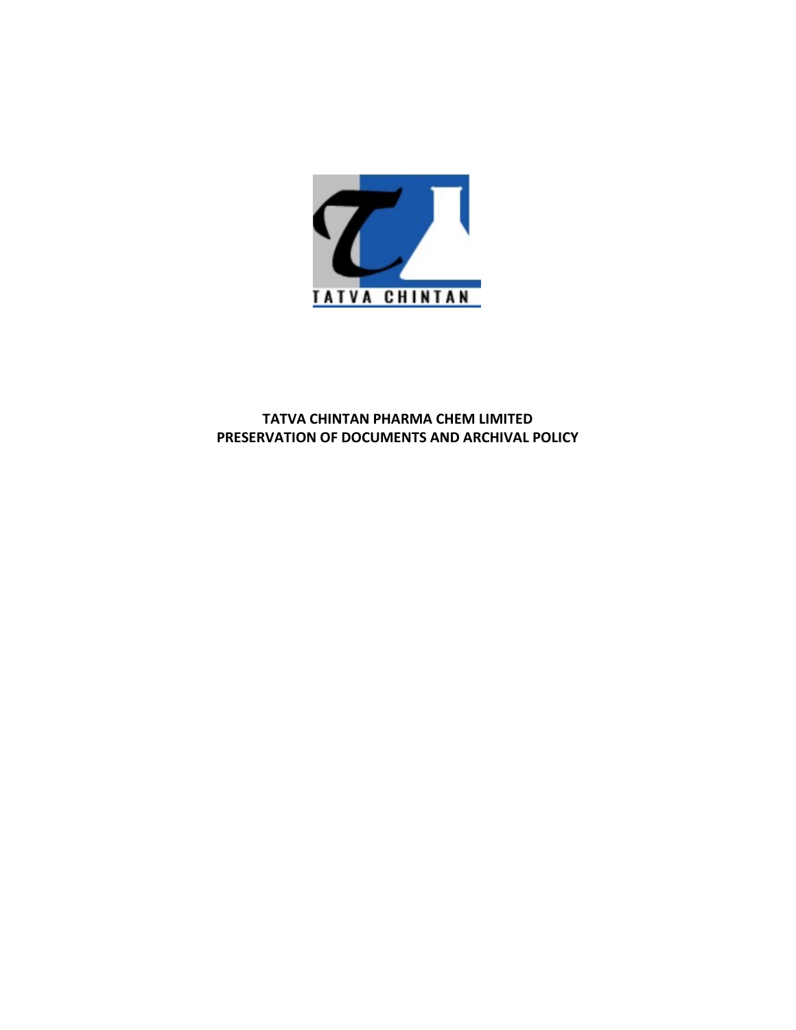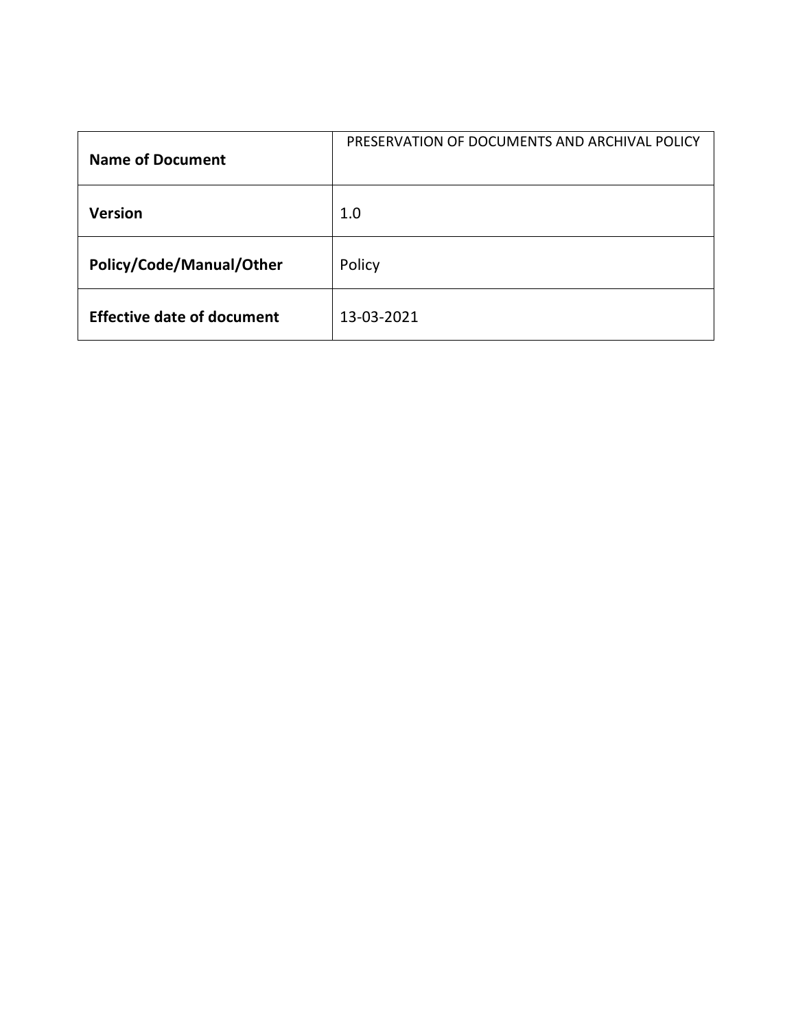| <b>Name of Document</b>           | PRESERVATION OF DOCUMENTS AND ARCHIVAL POLICY |
|-----------------------------------|-----------------------------------------------|
| Version                           | 1.0                                           |
| Policy/Code/Manual/Other          | Policy                                        |
| <b>Effective date of document</b> | 13-03-2021                                    |
|                                   |                                               |
|                                   |                                               |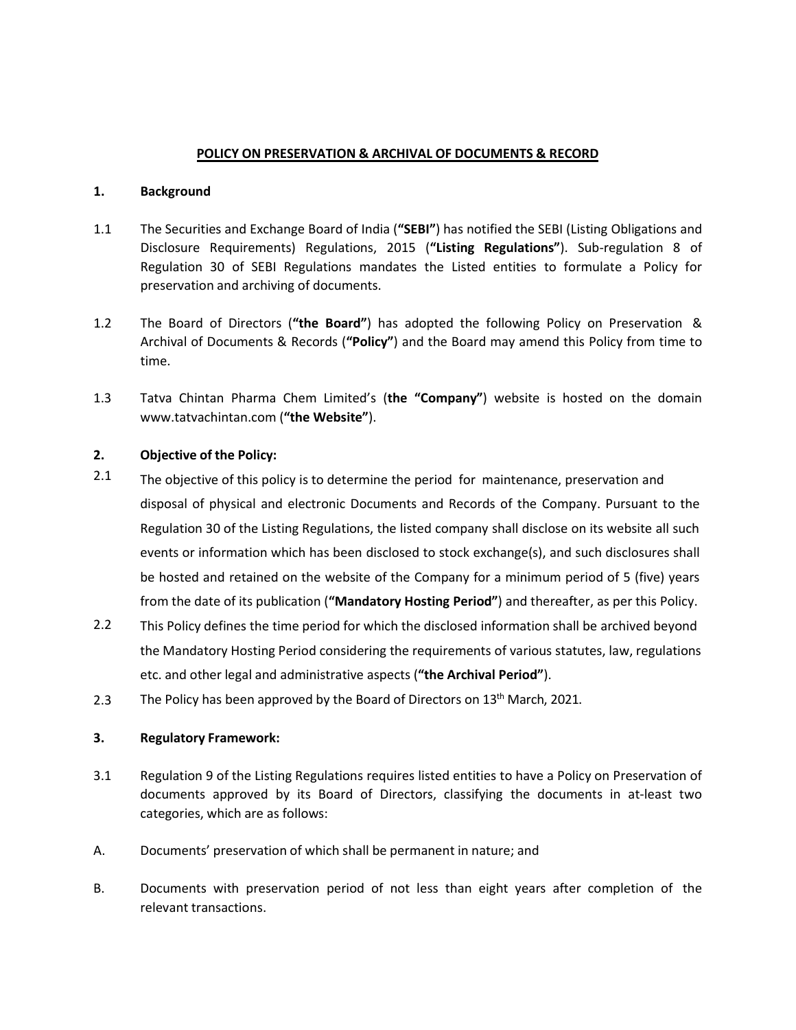- **POLICY ON PRESERVATION & ARCHIVAL OF DOCUMENTS & RECORD**<br> **nd**<br>
ities and Exchange Board of India ("**SEBI**") has notified the SEBI (Listing Obligations and<br> **Proper Account Accounts Account** Regulations. 2015 ("L**isting R POLICY ON PRESERVATION & ARCHIVAL OF DOCUMENTS & RECALL ASSEM**<br> **1.** Background<br>
The Securities and Exchange Board of India ("SEBI") has notified the SEBI<br>
Disclosure Requirements) Regulations, 2015 ("Listing Regulations" **EXECUTE AND PRESERVATION & ARCHIVAL OF DOCUMENTS & RECORD**<br>1.1 The Securities and Exchange Board of India ("SEBI") has notified the SEBI (Listing Obligations and<br>Disclosure Requirements) Regulations, 2015 ("Li**sting Regul POLICY ON PRESERVATION & ARCHIVAL OF DOCUMENTS & RECORD**<br>Background<br>The Securities and Exchange Board of India ("SEBI") has notified the SEBI (Listing Obligations and<br>Disclosure Requirements) Regulations, 2015 ("Listing R **POLICY ON PRESERVATION & ARCHIVAL OF DOCUMENTS & RECORD**<br>Background<br>The Securities and Exchange Board of India ("SEBI") has notified the SEBI (Listing Obligations and<br>Disclosure Requirements) Regulations, 2015 ("Listing R **POLICY ON PRESERVATION & ARCHIVAL OF DOCUMENTS & RECORD**<br>Background<br>The Securities and Exchange Board of India ("SEBI") has notified the SEBI (Listing Obligations and<br>Disclosure Requirements) Regulations, 2015 ("Listing R **POLICY ON PRESERVATION & ARCHIVAL OF DOCUMENTS & RECORD**<br>
1.<br> **1.1** The Securities and Exchange Board of India ("SEBI") has notified the SEBI (Listing Obligations and<br>
Disclosure Requirements) Regulations, 2015 ("Listing **POLICY ON PRESERVATION & ARCHIVAL OF DOCUMENTS & RECORD**<br> **Background**<br>
The Securities and Exchange Board of India ("S**EBI"**) has notified the SEBI (Listing Obligations and<br>
Disclosure Requirements) Regulations, 2015 ("Li **1.3** Tatva Chintan Pharma Chem Limited's (the "Company") website is hosted on the domain considerations and Disclosure Requirements! Regulations and Disclosure Requirements! Regulations and Disclosure Requirements! Regula **POLICY ON PRESERVATION & ARCHIVAL OF DOCUMENTS & RECORD**<br> **Background**<br>
The Securities and Exchange Board of India ("SEBI") has notified the SEBI (Listing Obligations and<br>
Disclosure Requirements) Regulations, 2015 ("List
- time.
- 

# 2. Objective of the Policy:

- <sup>2.1</sup> The objective of this policy is to determine the period for maintenance, preservation and **POLICY ON PRESERVATION & ARCHIVAL OF DOCUMENTS & RECORD**<br> **Background**<br>
The Securities and Exchange Board of India ("SEBI") has notified the SEBI (Listing Obligatio<br>
Disclosure Requirements) Regulations, 2015 ("Listing Re **Background**<br>
The Securities and Exchange Board of India ("SEBI") has notified the SEBI (Listing Obligations and<br>
Disclosure Requirements) Regulations, 2015 ("Listing Regulations"). Sub-regulation 3 of<br>
Regulation 30 of SE **Background**<br>The Securities and Exchange Board of India ("SEBI") has notified the SEBI (Listing Obligations and<br>Disclosure Requirements) Regulations, 2015 ("Li**sting Regulations**"). Sub-regulation 30 of<br>Regulation 30 of SE The Securities and Exchange Board of India ("SEBI") has notified the SEBI (Listing Obligations and Disclosure Requirements) Regulations, 2015 ("Listing Regulations"). Sub-regulation 30 of SEBI Regulations mandates the List The Securities and Exchange Board of India ("SBBI") has notitied the SEBI (Listing Obligations and<br>Disclosure Requirements) Regulations, 2015 ("Listing Regulations"). Sub-regulation 3 of<br>Regulation 30 of SEBI Regulations m be hosted and retained on the website of the Company in successors of the and retained a Policy for preservation 30 of SEBI Regulations mandates the Listed entities to formulate a Policy for preservation and archiving of d preservation and archiving of documents.<br>
The Board of Directors ("the Board") has adopted the following Policy on Preservation &<br>
Archival of Documents & Records ("Policy") and the Board may amend this Policy from time to The Board of Directors (**"the Board"**) has adopted the following Policy on Preservation &<br>Archival of Documents & Records (**"Policy"**) and the Board may amend this Policy from time to<br>time.<br>Tatva Chintan Pharma Chem Limite The board of Directions (**The Board )** has adopted the following Policy of Preservation as<br>Archival of Documents & Records ("Policy") and the Board may amend this Policy from time to<br>Tatva Chintan Pharma Chem Limited's (th time.<br>Tatva Chintan Pharma Chem Limited's (the "Company") website is hosted on the domain<br>www.tatvachintan.com ("the Website").<br>
Objective of this policy is to determine the period for maintenance, preservation and<br>
dispos Tatva Chintan Pharma Chem Limited's (the "Company") website is hosted on the domain<br>www.tatvachintan.com ("the Website").<br>
Objective of the Policy:<br>
The objective of this policy is to determine the period for maintenance, www.tatvachintan.com ("the Website").<br>
2. **Cobjective of the Policy:**<br>
2.1 The objective of this policy is to determine the period for maintenance, preservation<br>
disposal of physical and electronic Documents and Records of **2.1 Consective of the Policy:**<br>The objective of this policy is to determine the period for maintenance, preservation and<br>disposal of physical and electronic Documents and Records of the Company. Pursuant to the<br>Regulat The objective of this policy is to determine the period for maintenance, preservation and<br>disposal of physical and electronic Documents and Records of the Company. Pursuant to the<br>Regulation 30 of the Listing Regulations, disposal of physical and electronic Documents and Records of the Company. Pursuant to the Regulation 30 of the Listing Regulations, the listed company shall disclose on its website all such<br>events or information which has Regulation 30 of the Listing Regulations, the listed company shall disclose on its website all such<br>events or information which has been disclosed to stock exchange(s), and such disclossures shall<br>be hosted and retained on
- 2.2 This Policy defines the time period for which the disclosed information shall be archived beyond be hosted and retained on the website of the Company for a minimum period of 5 (five) years<br>from the date of its publication (**"Mandatory Hosting Period"**) and thereafter, as per this Policy.<br>This Policy defines the time p be inseled and retained on the website of the company for a minimum period of<br>from the date of its publication ("**Mandatory Hosting Period**") and thereafter, as p<br>This Policy defines the time period for which the disclosed
- 2.3 The Policy has been approved by the Board of Directors on 13<sup>th</sup> March, 2021.

- 
- 
-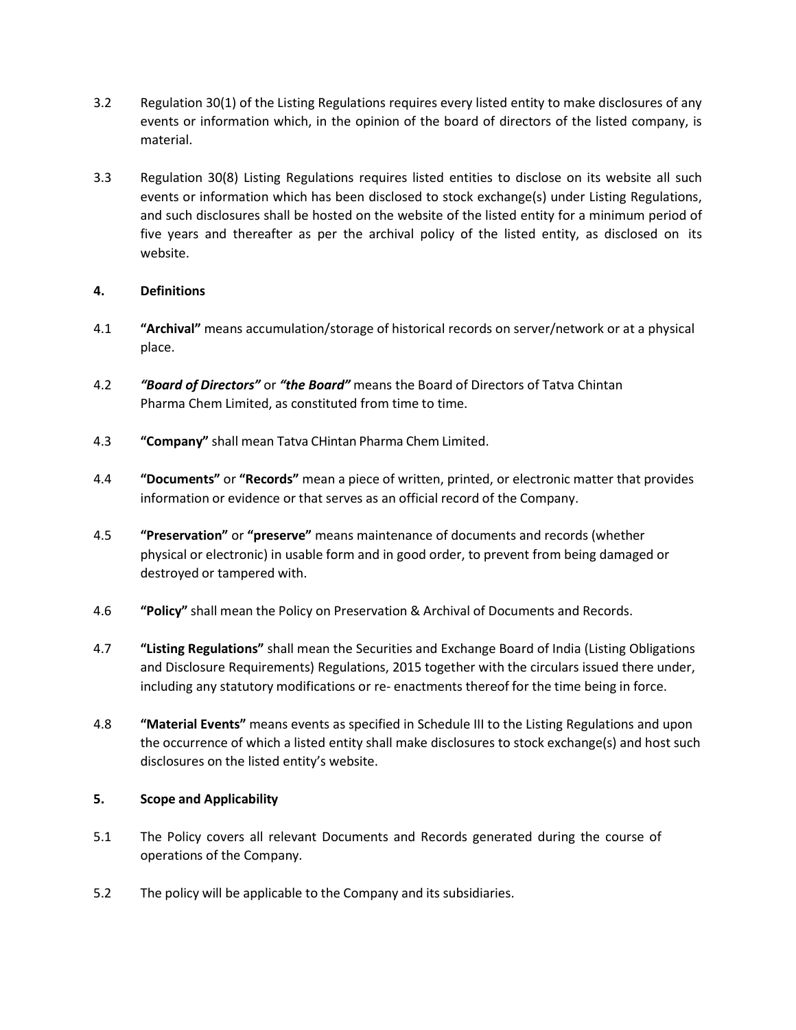- Regulation 30(1) of the Listing Regulations requires every listed entity to make disclosures of any<br>
events or information which, in the opinion of the board of directors of the listed company, is<br>
material.<br>
Regulation 30 Regulation 30(1) of the Listing Regulations requires every listed entity to make disclosures of any<br>events or information which, in the opinion of the board of directors of the listed company, is<br>material.<br>Regulation 30(8) material.
- 3.2 Regulation 30(1) of the Listing Regulations requires every listed entity to make disclosures of any<br>events or information which, in the opinion of the board of directors of the listed company, is<br>material.<br>3.3 Regulati Regulation 30(1) of the Listing Regulations requires every listed entity to make disclosures of any<br>events or information which, in the opinion of the board of directors of the listed company, is<br>material.<br>Regulation 30(8) Regulation 30(1) of the Listing Regulations requires every listed entity to make disclosures of any<br>events or information which, in the opinion of the board of directors of the listed company, is<br>material.<br>Regulation 30(8) Regulation 30(1) of the Listing Regulations requires every listed entity to make disclosures of any<br>events or information which, in the opinion of the board of directors of the listed company, is<br>material.<br>Regulation 30(8) website. 3.2 Regulation 30(1) of the Listing Regulations requires every listed entity to i<br>events or information which, in the opinion of the board of directors of<br>material.<br>3.3 Regulation 30(8) Listing Regulations requires listed 8.2 Regulation 30(1) of the Listing Regulations requires every listed entity to make disclosures of any<br>
events or information which, in the opinion of the board of directors of the listed company, is<br>
material.<br>
Regulatio 3.2 Regulation 30(1) of the Listing Regulations requires every listed entity to make disclosures of any<br>events or information which, in the opinion of the board of directors of the listed company, is<br>material.<br>3.3 Regulati Regulation 30(1) of the Listing Regulations requires every listed entity to make disclosures of any<br>events or information which, in the opinion of the board of directors of the listed company, is<br>material.<br>Regulation 30(8) events or information which, in the opinion of the board of directors of the listed company, is<br>material.<br>Signation 30(8) Listing Regulations requires listed entities to disclose on its website all such<br>events or informati 3.3 Regulation 30(8) Listing Regulations requires listed entities to disclose on its website all such<br>events or information which has been disclosed to stock exchange(s) under Listing Regulations,<br>and such disclosures sha Regulation 30(8) Listing Regulations requires listed entities to disclose on its website all such<br>events or information which has been disclosed to stock exchange(s) under tisting Regulations,<br>and such disclosures shall be and such disclosures shall be hosted on the website of the listed entity for a minimum period of<br>five years and thereafter as per the archival policy of the listed entity, as disclosed on its<br>website.<br>**4.**<br>**4.**<br>**4.4 "Archi**

- place.
- 
- 
- 
- five years and thereafter as per the archival policy of the listed entity, as disclosed on its<br>website.<br>**Definitions**<br>"Archival" means accumulation/storage of historical records on server/network or at a physical<br>place.<br>" website.<br> **"Archival"** means accumulation/storage of historical records on server/network or at a physical<br>
place.<br>
"Board of Directors" or "the Board" means the Board of Directors of Tatva Chintan<br>
"Pormany" shall mean Ta
- 
- **4. Community of the Policy** of historical records on server/network or at a physical place.<br> **4.2** "Boord of Directors" or "the Board" means the Board of Directors of Tatva Chintan<br> **4.3** "Company" shall mean Tatva CHin "Archival" means accumulation/storage of historical records on server/network or at a physical<br>place.<br>
"Boord of Directors" or "the Boord" means the Board of Directors of Tatva Chintan<br>
Pharma Chem Limited, as constituted place.<br>"Board of Directors" or "the Board" means the Board of Directors of Tatva Chintan<br>Pharma Chem Limited, as constituted from time to time.<br>"Company" shall mean Tatva CHintan Pharma Chem Limited.<br>"Documents" or "Record
- "Board of Directors" or "the Board" means the Board of Directors of Tatva Chintan<br>Pharma Chem Limited, as constituted from time to time.<br>"Company" shall mean Tatva CHintan Pharma Chem Limited.<br>"Documents" or "Records" mean Pharma Chem Limited, as constituted from time to time.<br>
"Company" shall mean Tatva CHintan Pharma Chem Limited.<br>
"Documents" or "Records" mean a piece of written, printed, or electronic matter that provides<br>
information or "Company" shall mean Tatva Chintan Pharma Chem Limited.<br>"Documents" or "Records" mean a piece of written, printed, or electronic matter that provides<br>information or evidence or that serves as an official record of the Comp "Company" shall mean Tatva Chintan Pharma Chem Limited.<br>"Documents" or "Records" mean a piece of written, printed, or electronic matter that provides<br>information or evidence or that serves as an official record of the Comp "4.4 "Documents" or "Records" mean a piece of written, printed, or electronic matter the information or evidence or that serves as an official record of the Company.<br>
"Preservation" or "preserve" means maintenance of docum **4.5 "Preservation" or "preserve"** means maintenance of documents and records (whether<br>physical or electronic) in usable form and in good order, to prevent from being damaged or<br>destroyed or tampered with.<br>**4.5** "Dolicy" s "**Preservation"** or "**preserve"** means maintenance of documents and records (whether physical or electronic) in usable form and in good order, to prevent from being damaged or destroyed or tampered with.<br>
"**Policy"** shall destroyed or tampered with.<br>
"Policy" shall mean the Policy on Preservation & Archival of Documents and Records.<br>
"Listing Regulations" shall mean the Securities and Exchange Board of India (Listing Obligations<br>
and Disclo

- 
-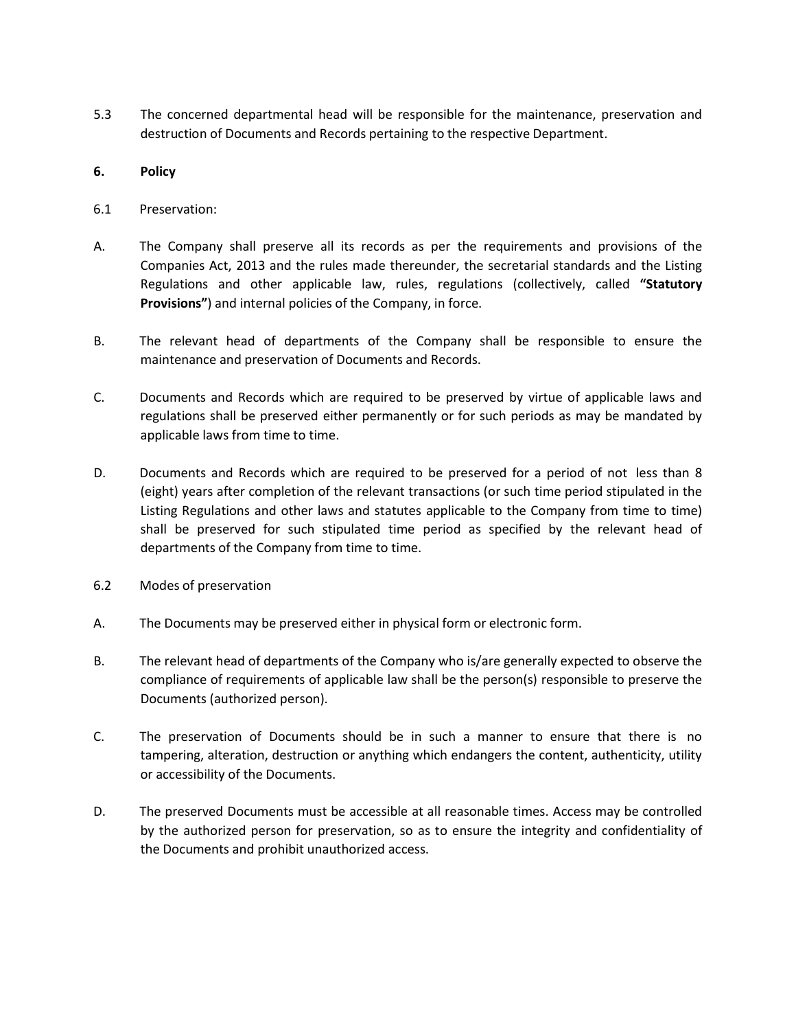5.3 The concerned departmental head will be responsible for the maintenance, preservation and<br>destruction of Documents and Records pertaining to the respective Department.<br>6. Policy<br>Freservation: The concerned departmental head will be responsible for the maintenance, preservation and<br>destruction of Documents and Records pertaining to the respective Department.<br>Policy<br>Preservation: The concerned departmental head will be responsible for the mainten<br>destruction of Documents and Records pertaining to the respective Depart<br>**6.** Policy<br>**6.** Preservation:<br>A. The Company shall preserve all its records as p

- 
- The concerned departmental head will be responsible for the mainten<br>destruction of Documents and Records pertaining to the respective Depart<br>**6.1** Preservation:<br>6.1 Preservation:<br>6.1 Preservation:<br>6.1 Preservation:<br>6.1 Pre The concerned departmental head will be responsible for the maintenance, preservation and<br>destruction of Documents and Records pertaining to the respective Department.<br>**6.**<br>**Preservation:**<br>A. The Company shall preserve all The concerned departmental head will be responsible for the maintenance, preservation and<br>destruction of Documents and Records pertaining to the respective Department.<br>Policy<br>Preservation:<br>Recompanies Act, 2013 and the rul The concerned departmental head will be responsible for the maintenance, preservation and<br>destruction of Documents and Records pertaining to the respective Department.<br>Policy<br>Preservation:<br>The Company shall preserve all it The concerned departmental head will be responsible for the maintenance, preservation and<br> **Policy**<br> **Provisions:**<br> **Provisions:**<br> **Provisions:**<br> **Provisions** and the rules and the reunder, the secretarial standards and th The concerned departmental head will be responsible for the maintenance, preservation and<br>destruction of Documents and Records pertaining to the respective Department.<br>**6.**<br>**Preservation:**<br>**6.**<br>**A.** The Company shall prese The concerned departmental head will be responsible for the maintenance, preservation and<br>destruction of Documents and Records pertaining to the respective Department.<br>Policy<br>Preservation:<br>The Company shall preserve all it 5.3 The concerned departmental head will be responsible for the maintenance, preservation and<br>destruction of Documents and Records pertaining to the respective Department.<br>
6. **Policy**<br>
6.1 Preservation:<br>
7. The Company sh The concerned departmental head will be responsible for the maintenance, preservation and<br>destruction of Documents and Records pertaining to the respective Department.<br>Policy<br>Preservation:<br>The Companies Act, 2013 and the r The concerned departmental head will be responsible for the maintenance, preservation and<br>destruction of Documents and Records pertaining to the respective Department.<br>Policy<br>Preservation:<br>The Company shall preserve all it
- 
- 
- **6.1** Policy<br>
C.1 Preservation:<br>
C.1 Preservation:<br>
A. The Company shall preserve all its records as per the requirements and provisions of the<br>
Companies Act, 2013 and the rualistable law, rules, regulations (collectivel **Preservation:**<br>The Company shall preserve all its records as per the requirements and provisions of the Companies Act, 2013 and the rules made thereunder, the secretarial standards and the Listing Regulations and other ap Preservation:<br>The Company shall preserve all its records as per the requirements and provisions of the<br>Companies Act, 2013 and the rules made thereunder, the secretarial standards and the Listing<br>Regulations and other appl Preservation:<br>The Company shall preserve all its records as per the requirements and provisions of the<br>Companies Act, 2013 and the rules made threeunder, the secretarial standards and the Listing<br>Regulations and other appl The Company shall preserve all its records as per the requirements and provisions of the Companies Act, 2013 and the rules made thereunder, the secretarial standards and the Listing Regulations and other applicable law, ru Companies Act, 2013 and the rules made thereunder, the secretarial standards and Regulations and other applicable law, rules, regulations (collectively, calle<br> **Provisions"**) and internal policies of the Company, in force. **Provisions"**) and internal policies of the Company, in force.<br>
B.<br>
The relevant head of departments of the Company shall be responsible to ensure the<br>
maintenance and preserved to Documents and Records.<br>
C.<br>
Documents and B.<br>
The relevant head of departments of the Company shall be responsible to ensure the<br>
maintenance and preserved conditions and Records.<br>
C.<br>
C. Documents and Records which are required to be preserved by virtue of applic maintenance and preservation of Documents and Records.<br>Documents and Records which are required to be preserved by virtue of applicable laws and<br>regulations shall be preserved either permanently or for such periods as may Documents and Records which are required to be preserved by virtue of applicable laws and regulations shall be preserved either permanently or for such periods as may be mandated by applicable laws from time to time.<br>Docum regulations shall be preserved either permanently or for such periods as may be mandated by<br>
applicable laws from time to time.<br>
C. D. Documents and Records which are required to be preserved for a period of not less than applicable laws from time to time.<br>
Documents and Records which are required to be preserved for a period of not less than 8<br>
(eight) years after completion of the relevant transactions (or such time period stipulated in t Documents and Records which are required to be preserved for a period of not less than (eight) years after completion of the relevant transactions (or such time period stipulated in thisting Regulations and other laws and (eight) years after completion of the relevant transactions (or such time period stipulated in the<br>
Listing Regulations and other laws and statutes applicable to the Company from time to time)<br>
shall be preserved for such
- 
- 
- Listing Regulations and other laws and statutes applicable to the Company from time to time)<br>shall be preserved for such stipulated time period as specified by the relevant head of<br>departments of the Company from time to t shall be preserved for such stipulated time period as specified by the relevant head of<br>departments of the Company from time to time.<br>Modes of preservation<br>The Documents may be preserved either in physical form or electron
- 
-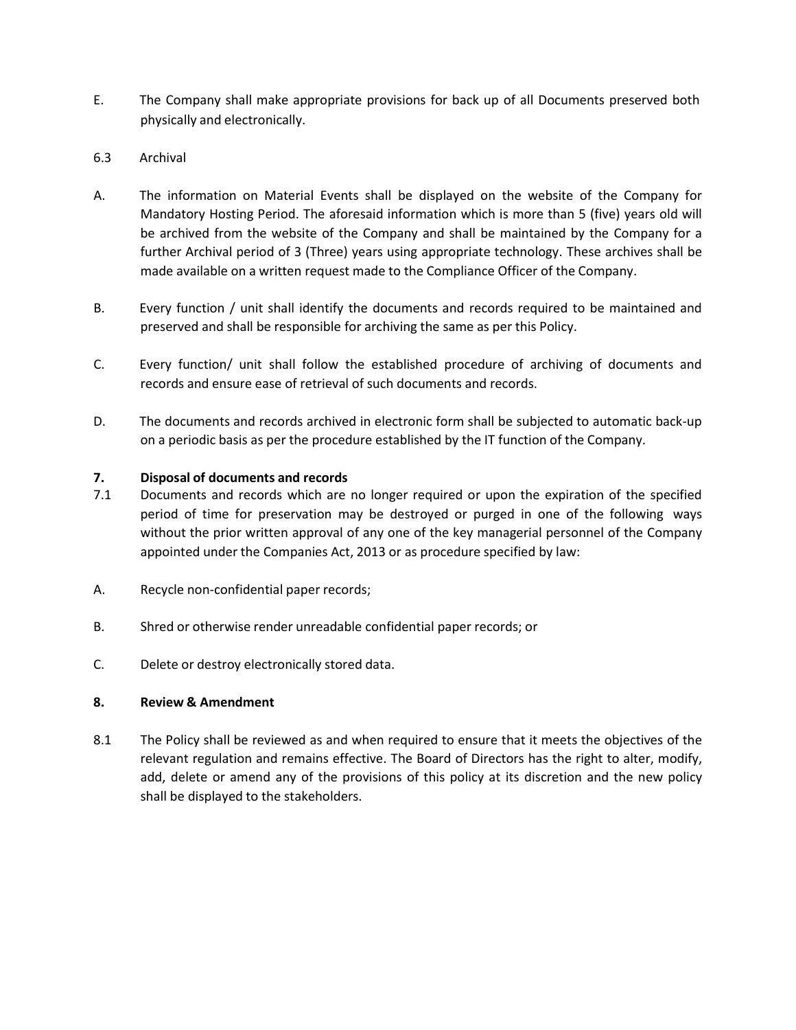- E. The Company shall make appropriate provisions for back up of all Documents preserved both<br>physically and electronically.<br>A The information on Material Events shall be displayed on the website of the Company for The Company shall make appropriate provisions for back up of all Documents preserv<br>physically and electronically.<br>Archival<br>The information on Material Events shall be displayed on the website of the Com<br>Mandatory Hosting P
- 
- E. The Company shall make appropriate provisions for back up of all Docu<br>physically and electronically.<br>6.3 Archival<br>A. The information on Material Events shall be displayed on the websit<br>Mandatory Hosting Period. The afor F.<br>The Company shall make appropriate provisions for back up of all Documents preserved both<br>physically and electronically.<br>A.<br>The information on Material Events shall be displayed on the website of the Company for<br>Mandato The Company shall make appropriate provisions for back up of all Documents preserved both<br>physically and electronically.<br>Archival<br>Mandatory Hosting Period. The aforesaid information which is more than 5 (five) years old wi The Company shall make appropriate provisions for back up of all Documents preserved both<br>physically and electronically.<br>Archival<br>The information on Material Events shall be displayed on the website of the Company for<br>Mand The Company shall make appropriate provisions for back up of all Documents preserved both<br>physically and electronically.<br>Archival<br>The information on Material Events shall be displayed on the website of the Company for<br>Mand The Company shall make appropriate provisions for back up of all Documents preserved both<br>physically and electronically.<br>Archival<br>Mandatory Hosting Period. The atoresaid information which is more than 5 (five) years old wi E.<br>
The Company shall make appropriate provisions for back up of all Documents preserved both<br>
physically and electronically.<br>
A.<br>
The information on Material Events shall be displayed on the website of the Company for<br>
Ma The Company shall make appropriate provisions for back up of all Documents preserved both<br>physically and electronically.<br>Archival<br>The information on Material Events shall be displayed on the website of the Company for<br>Mand E.<br>
The Company shall make appropriate provisions for back up of all Documents preserved both<br>
physically and electronically.<br>
A.<br>
The information on Material Events shall be displayed on the website of the Company for<br>
Ma The Company shall make appropriate provisions for back up of all Documents preserved both<br>physically and electronically.<br>Archival<br>Archival<br>The information on Material Events shall be displayed on the website of the Company E.<br>
The Company shall make appropriate provisions for back up of all Documents preserved both<br>
physically and electronically.<br>
A.<br>
The information on Material Events shall be displayed on the website of the Company for<br>
Ma physically and electronically.<br>
Archival<br>
Archival<br>
The information on Material Events shall be displayed on the website of the Company for<br>
Mandatory Hosting Period. The aforesaid information which is more than 5 (five) y Archival<br>
A. The information on Material Events shall be displayed on the website of the Company for<br>
Mandatory Hosting Period. The aforesaid information which is more than 5 (five) years old will<br>
be archived from the web A. The information on Material Events shall be displayed on the website of the Company for<br>Mandatory Hosting Period. The aforesaid information which is more than 5 (five) years old will<br>be archived from the website of the The information on Material Events shall be displayed on the website of the Company for<br>Mandatory Hotsing Period. The forestaid information which is more than 5 (five) years old will<br>be archived from the website of the Com Mandatory Hosting Period. The aforesaid information which is more than 5 (five) years old will<br>be archived from the website of the Company and shall be maintained by the Company for a<br>thrither Archival period of 3 (Three)
- 
- 
- 

- be archived from the website of the Company and shall be maintained by the Company for a<br>further Archival period of 3 (Three) years using appropriate technology. These archives shall be<br>made available on a written request made available on a written request made to the Compliance Officer of the Company.<br>
B.<br>
B. Every function / unit shall identify the documents and records required to be maintained and<br>
preserved and shall be responsible fo B. Every function / unit shall identify the documents and records required to be maintained and<br>preserved and shall be responsible for archiving the same as per this Policy.<br>C. Every function/ unit shall follow the establi C. Every function/ unit shall follow the established procedure of archiving of documents and<br>records and ensure ease of retrieval of such documents and records.<br>D. The documents and records archived in electronic form shal records and ensure ease of retrieval of such documents and records.<br>
D.<br>
The documents and records archived in electronic form shall be subjected to autom<br>
on a periodic basis as per the procedure established by the IT fun 9.1 The documents and records archived in electronic form shall be subjected to automatic back-up<br>on a periodic basis as per the procedure established by the IT function of the Company.<br>
7.1 Dispossal of documents and reco on a periodic basis as per the procedure established by the IT function of the Company.<br>Disposal of documents and records<br>Documents and records which are no longer required or upon the expiration of the specified<br>period of **Disposal of documents and records**<br>Documents and records which are no longer required or upped in one of the specified<br>period of time for preservation may be destroyed or purged in one of the following ways<br>without the pr Disposal of documents and records<br>Disposal of documents and records<br>Decuments and records which are no longer required or upon the expiration of the specified<br>period of time for preservation may be destroyed or purged in o
- 
- 
-